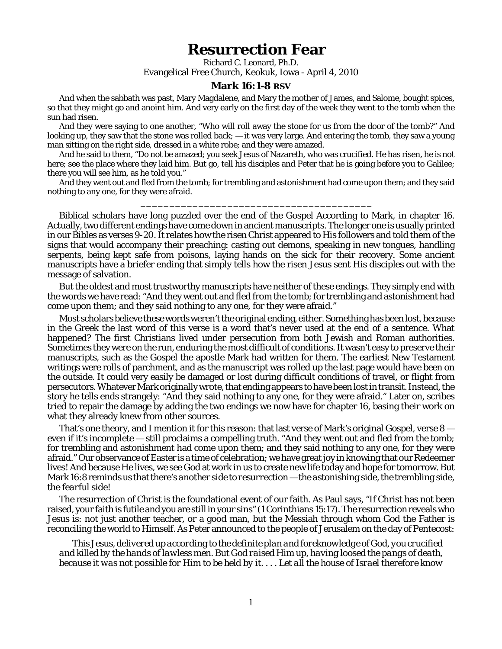## **Resurrection Fear**

Richard C. Leonard, Ph.D. Evangelical Free Church, Keokuk, Iowa - April 4, 2010

## **Mark 16:1-8 RSV**

And when the sabbath was past, Mary Magdalene, and Mary the mother of James, and Salome, bought spices, so that they might go and anoint him. And very early on the first day of the week they went to the tomb when the sun had risen.

And they were saying to one another, "Who will roll away the stone for us from the door of the tomb?" And looking up, they saw that the stone was rolled back; — it was very large. And entering the tomb, they saw a young man sitting on the right side, dressed in a white robe; and they were amazed.

And he said to them, "Do not be amazed; you seek Jesus of Nazareth, who was crucified. He has risen, he is not here; see the place where they laid him. But go, tell his disciples and Peter that he is going before you to Galilee; there you will see him, as he told you."

And they went out and fled from the tomb; for trembling and astonishment had come upon them; and they said nothing to any one, for they were afraid.

\_\_\_\_\_\_\_\_\_\_\_\_\_\_\_\_\_\_\_\_\_\_\_\_\_\_\_\_\_\_\_\_\_\_\_\_\_\_\_\_

Biblical scholars have long puzzled over the end of the Gospel According to Mark, in chapter 16. Actually, two different endings have come down in ancient manuscripts. The longer one is usually printed in our Bibles as verses 9-20. It relates how the risen Christ appeared to His followers and told them of the signs that would accompany their preaching: casting out demons, speaking in new tongues, handling serpents, being kept safe from poisons, laying hands on the sick for their recovery. Some ancient manuscripts have a briefer ending that simply tells how the risen Jesus sent His disciples out with the message of salvation.

But the oldest and most trustworthy manuscripts have neither of these endings. They simply end with the words we have read: "And they went out and fled from the tomb; for trembling and astonishment had come upon them; and they said nothing to any one, for they were afraid."

Most scholars believe these words weren't the original ending, either. Something has been lost, because in the Greek the last word of this verse is a word that's never used at the end of a sentence. What happened? The first Christians lived under persecution from both Jewish and Roman authorities. Sometimes they were on the run, enduring the most difficult of conditions. It wasn't easy to preserve their manuscripts, such as the Gospel the apostle Mark had written for them. The earliest New Testament writings were rolls of parchment, and as the manuscript was rolled up the last page would have been on the outside. It could very easily be damaged or lost during difficult conditions of travel, or flight from persecutors. Whatever Mark originally wrote, that ending appears to have been lost in transit. Instead, the story he tells ends strangely: "And they said nothing to any one, for they were afraid." Later on, scribes tried to repair the damage by adding the two endings we now have for chapter 16, basing their work on what they already knew from other sources.

That's one theory, and I mention it for this reason: that last verse of Mark's original Gospel, verse  $8$ even if it's incomplete — still proclaims a compelling truth. "And they went out and fled from the tomb; for trembling and astonishment had come upon them; and they said nothing to any one, for they were afraid." Our observance of Easter is a time of celebration; we have great joy in knowing that our Redeemer lives! And because He lives, we see God at work *in us* to create new life today and hope for tomorrow. But Mark 16:8 reminds us that there's *another side to resurrection* — the *astonishing* side, the *trembling* side, the *fearful* side!

The resurrection of Christ is the foundational event of our faith. As Paul says, "If Christ has not been raised, your faith is futile and you are still in your sins" (1 Corinthians 15:17). The resurrection reveals who Jesus is: not just another teacher, or a good man, but the Messiah through whom God the Father is reconciling the world to Himself. As Peter announced to the people of Jerusalem on the day of Pentecost:

*This Jesus, delivered up according to the definite plan and foreknowledge of God, you crucified and killed by the hands of lawless men. But God raised Him up, having loosed the pangs of death, because it was not possible for Him to be held by it. . . . Let all the house of Israel therefore know*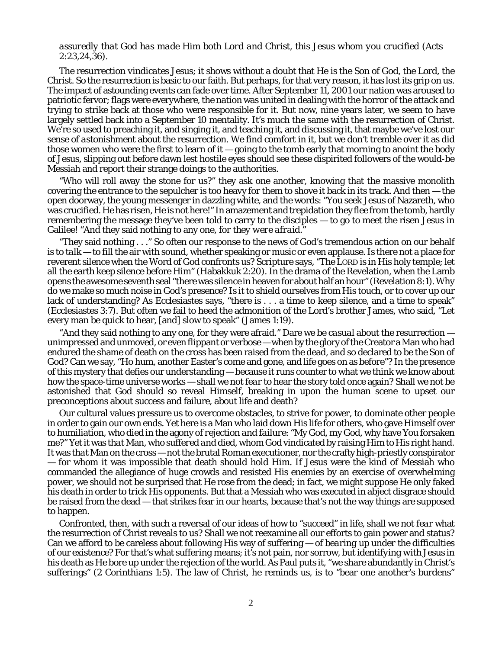## *assuredly that God has made Him both Lord and Christ, this Jesus whom you crucified* (Acts 2:23,24,36).

The resurrection *vindicates* Jesus; it shows without a doubt that He *is* the Son of God, the Lord, the Christ. So the resurrection is basic to our faith. But perhaps, for that very reason, it has lost its grip on us. The impact of astounding events can fade over time. After September 11, 2001 our nation was aroused to patriotic fervor; flags were everywhere, the nation was united in dealing with the horror of the attack and trying to strike back at those who were responsible for it. But now, nine years later, we seem to have largely settled back into a September 10 mentality. It's much the same with the resurrection of Christ. We're so used to preaching it, and singing it, and teaching it, and discussing it, that maybe we've *lost our sense of astonishment* about the resurrection. We find comfort in it, but we don't *tremble* over it as did those women who were the first to learn of it — going to the tomb early that morning to anoint the body of Jesus, slipping out before dawn lest hostile eyes should see these dispirited followers of the would-be Messiah and report their strange doings to the authorities.

"Who will roll away the stone for us?" they ask one another, knowing that the massive monolith covering the entrance to the sepulcher is too heavy for them to shove it back in its track. And then — the open doorway, the young messenger in dazzling white, and the words: "You seek Jesus of Nazareth, who was crucified. He has risen, He is not here!" In amazement and trepidation they flee from the tomb, hardly remembering the message they've been told to carry to the disciples — to go to meet the risen Jesus in Galilee! "And they said nothing to any one, *for they were afraid.*"

"They said nothing . . ." So often our response to the news of God's tremendous action on our behalf is to *talk* — to fill the air with sound, whether speaking or music or even applause. Is there not a place for reverent *silence* when the Word of God confronts us? Scripture says, "The LORD is in His holy temple; let all the earth keep silence before Him" (Habakkuk 2:20). In the drama of the Revelation, when the Lamb opens the awesome seventh seal "there was silence in heaven for about half an hour" (Revelation 8:1). Why do we make so much *noise* in God's presence? Is it to shield ourselves from His touch, or to cover up our lack of understanding? As Ecclesiastes says, "there is . . . a time to keep silence, and a time to speak" (Ecclesiastes 3:7). But often we fail to heed the admonition of the Lord's brother James, who said, "Let every man be quick to hear, [and] slow to speak" (James 1:19).

"And they said nothing to any one, for they were afraid." Dare we be *casual* about the resurrection unimpressed and unmoved, or even flippant or verbose — when by the glory of the Creator a Man who had endured the shame of death on the cross has been raised from the dead, and so declared to be the Son of God? Can we say, "Ho hum, another Easter's come and gone, and life goes on as before"? In the presence of this mystery that defies our understanding — because it runs counter to what we think we know about how the space-time universe works — shall we not *fear* to hear the story told once again? Shall we not be astonished that God should so reveal Himself, breaking in upon the human scene to upset our preconceptions about success and failure, about life and death?

Our cultural values pressure us to overcome obstacles, to strive for power, to dominate other people in order to gain our own ends. Yet here is a Man who laid down His life for others, who gave Himself over to humiliation, who died in the agony of *rejection and failure*: "My God, my God, why have You forsaken me?" Yet it was *that* Man, who *suffered and died*, whom God vindicated by raising Him to His right hand. It was *that* Man on the cross — not the brutal Roman executioner, nor the crafty high-priestly conspirator — for whom it was impossible that death should hold Him. If Jesus were the kind of Messiah who commanded the allegiance of huge crowds and resisted His enemies by an exercise of overwhelming power, we should not be surprised that He rose from the dead; in fact, we might suppose He only faked his death in order to trick His opponents. But that a Messiah who was executed in abject disgrace should be raised from the dead — that strikes fear in our hearts, because that's not the way things are supposed to happen.

Confronted, then, with such a reversal of our ideas of how to "succeed" in life, shall we not *fear* what the resurrection of Christ reveals to us? Shall we not reexamine all our efforts to gain power and status? Can we afford to be careless about following His way of suffering — of *bearing up under* the difficulties of our existence? For that's what *suffering* means; it's not pain, nor sorrow, but *identifying with Jesus* in his death as He bore up under the rejection of the world. As Paul puts it, "we share abundantly in Christ's sufferings" (2 Corinthians 1:5). The law of Christ, he reminds us, is to "bear one another's burdens"